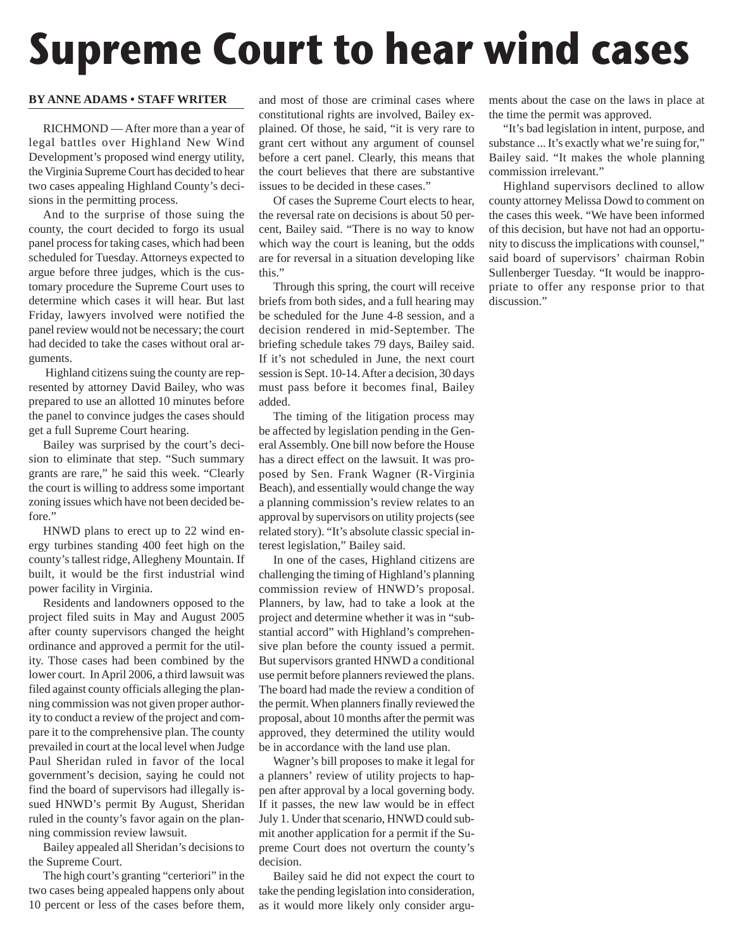## **Supreme Court to hear wind cases**

#### **BY ANNE ADAMS • STAFF WRITER**

RICHMOND — After more than a year of legal battles over Highland New Wind Development's proposed wind energy utility, the Virginia Supreme Court has decided to hear two cases appealing Highland County's decisions in the permitting process.

And to the surprise of those suing the county, the court decided to forgo its usual panel process for taking cases, which had been scheduled for Tuesday. Attorneys expected to argue before three judges, which is the customary procedure the Supreme Court uses to determine which cases it will hear. But last Friday, lawyers involved were notified the panel review would not be necessary; the court had decided to take the cases without oral arguments.

Highland citizens suing the county are represented by attorney David Bailey, who was prepared to use an allotted 10 minutes before the panel to convince judges the cases should get a full Supreme Court hearing.

Bailey was surprised by the court's decision to eliminate that step. "Such summary grants are rare," he said this week. "Clearly the court is willing to address some important zoning issues which have not been decided before."

HNWD plans to erect up to 22 wind energy turbines standing 400 feet high on the county's tallest ridge, Allegheny Mountain. If built, it would be the first industrial wind power facility in Virginia.

Residents and landowners opposed to the project filed suits in May and August 2005 after county supervisors changed the height ordinance and approved a permit for the utility. Those cases had been combined by the lower court. In April 2006, a third lawsuit was filed against county officials alleging the planning commission was not given proper authority to conduct a review of the project and compare it to the comprehensive plan. The county prevailed in court at the local level when Judge Paul Sheridan ruled in favor of the local government's decision, saying he could not find the board of supervisors had illegally issued HNWD's permit By August, Sheridan ruled in the county's favor again on the planning commission review lawsuit.

Bailey appealed all Sheridan's decisions to the Supreme Court.

The high court's granting "certeriori" in the two cases being appealed happens only about 10 percent or less of the cases before them,

and most of those are criminal cases where constitutional rights are involved, Bailey explained. Of those, he said, "it is very rare to grant cert without any argument of counsel before a cert panel. Clearly, this means that the court believes that there are substantive issues to be decided in these cases."

Of cases the Supreme Court elects to hear, the reversal rate on decisions is about 50 percent, Bailey said. "There is no way to know which way the court is leaning, but the odds are for reversal in a situation developing like this."

Through this spring, the court will receive briefs from both sides, and a full hearing may be scheduled for the June 4-8 session, and a decision rendered in mid-September. The briefing schedule takes 79 days, Bailey said. If it's not scheduled in June, the next court session is Sept. 10-14. After a decision, 30 days must pass before it becomes final, Bailey added.

The timing of the litigation process may be affected by legislation pending in the General Assembly. One bill now before the House has a direct effect on the lawsuit. It was proposed by Sen. Frank Wagner (R-Virginia Beach), and essentially would change the way a planning commission's review relates to an approval by supervisors on utility projects (see related story). "It's absolute classic special interest legislation," Bailey said.

In one of the cases, Highland citizens are challenging the timing of Highland's planning commission review of HNWD's proposal. Planners, by law, had to take a look at the project and determine whether it was in "substantial accord" with Highland's comprehensive plan before the county issued a permit. But supervisors granted HNWD a conditional use permit before planners reviewed the plans. The board had made the review a condition of the permit. When planners finally reviewed the proposal, about 10 months after the permit was approved, they determined the utility would be in accordance with the land use plan.

Wagner's bill proposes to make it legal for a planners' review of utility projects to happen after approval by a local governing body. If it passes, the new law would be in effect July 1. Under that scenario, HNWD could submit another application for a permit if the Supreme Court does not overturn the county's decision.

Bailey said he did not expect the court to take the pending legislation into consideration, as it would more likely only consider arguments about the case on the laws in place at the time the permit was approved.

"It's bad legislation in intent, purpose, and substance ... It's exactly what we're suing for," Bailey said. "It makes the whole planning commission irrelevant."

Highland supervisors declined to allow county attorney Melissa Dowd to comment on the cases this week. "We have been informed of this decision, but have not had an opportunity to discuss the implications with counsel," said board of supervisors' chairman Robin Sullenberger Tuesday. "It would be inappropriate to offer any response prior to that discussion."